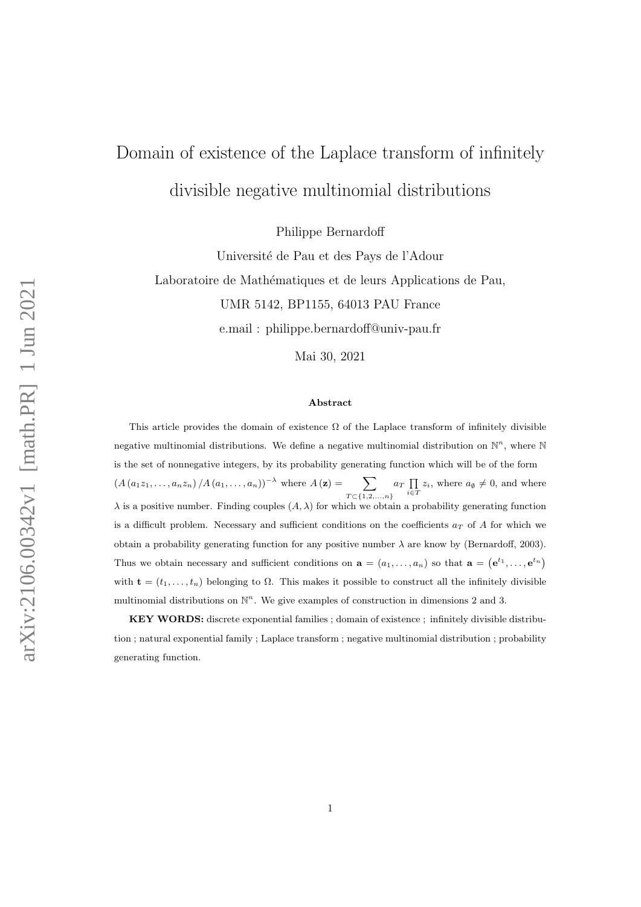# Domain of existence of the Laplace transform of infinitely divisible negative multinomial distributions

Philippe Bernardoff

Université de Pau et des Pays de l'Adour Laboratoire de Mathématiques et de leurs Applications de Pau, UMR 5142, BP1155, 64013 PAU France e.mail : philippe.bernardoff@univ-pau.fr

Mai 30, 2021

#### Abstract

This article provides the domain of existence  $\Omega$  of the Laplace transform of infinitely divisible negative multinomial distributions. We define a negative multinomial distribution on  $\mathbb{N}^n$ , where  $\mathbb{N}$ is the set of nonnegative integers, by its probability generating function which will be of the form  $(A(a_1z_1,\ldots,a_nz_n)/A(a_1,\ldots,a_n))^{-\lambda}$  where  $A(\mathbf{z})=\sum$  $T \subset \{1, 2, ..., n\}$  $a_T \prod_{i \in T} z_i$ , where  $a_\emptyset \neq 0$ , and where  $\lambda$  is a positive number. Finding couples  $(A, \lambda)$  for which we obtain a probability generating function is a difficult problem. Necessary and sufficient conditions on the coefficients  $a_T$  of A for which we obtain a probability generating function for any positive number  $\lambda$  are know by (Bernardoff, 2003). Thus we obtain necessary and sufficient conditions on  $\mathbf{a} = (a_1, \ldots, a_n)$  so that  $\mathbf{a} = (\mathbf{e}^{t_1}, \ldots, \mathbf{e}^{t_n})$ with  $\mathbf{t} = (t_1, \ldots, t_n)$  belonging to  $\Omega$ . This makes it possible to construct all the infinitely divisible multinomial distributions on  $\mathbb{N}^n$ . We give examples of construction in dimensions 2 and 3.

KEY WORDS: discrete exponential families ; domain of existence ; infinitely divisible distribution ; natural exponential family ; Laplace transform ; negative multinomial distribution ; probability generating function.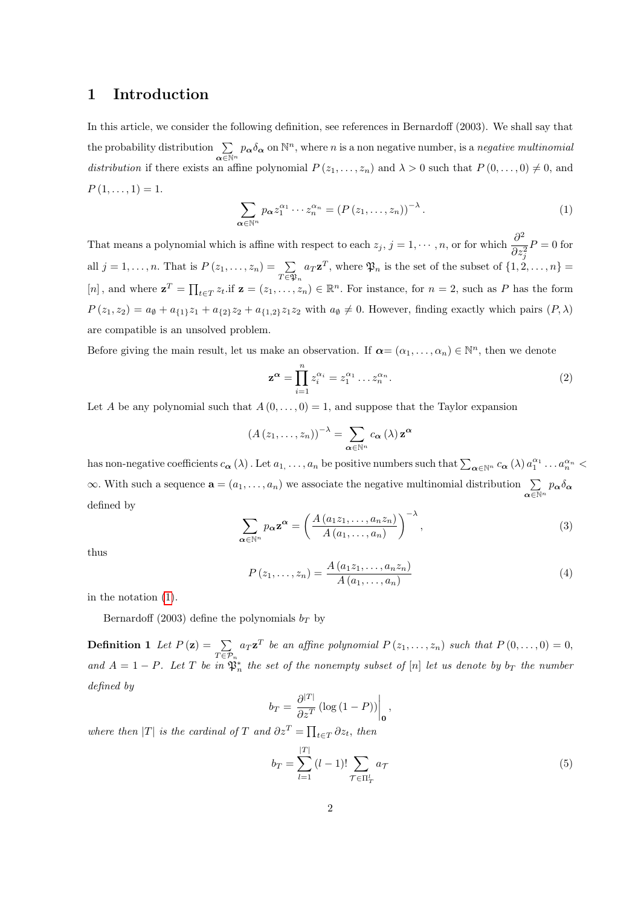#### 1 Introduction

In this article, we consider the following definition, see references in Bernardoff (2003). We shall say that the probability distribution  $\Sigma$  $\sum_{\alpha \in \mathbb{N}^n} p_{\alpha} \delta_{\alpha}$  on  $\mathbb{N}^n$ , where *n* is a non negative number, is a *negative multinomial* distribution if there exists an affine polynomial  $P(z_1, \ldots, z_n)$  and  $\lambda > 0$  such that  $P(0, \ldots, 0) \neq 0$ , and  $P(1,\ldots,1)=1.$ 

<span id="page-1-0"></span>
$$
\sum_{\alpha \in \mathbb{N}^n} p_{\alpha} z_1^{\alpha_1} \cdots z_n^{\alpha_n} = \left( P \left( z_1, \dots, z_n \right) \right)^{-\lambda} . \tag{1}
$$

That means a polynomial which is affine with respect to each  $z_j$ ,  $j = 1, \dots, n$ , or for which  $\frac{\partial^2 z}{\partial x^j}$  $\partial z_j^2$  $P = 0$  for all  $j = 1, \ldots, n$ . That is  $P(z_1, \ldots, z_n) = \sum$  $T \in \mathfrak{P}_n$  $a_T \mathbf{z}^T$ , where  $\mathfrak{P}_n$  is the set of the subset of  $\{1, 2, \ldots, n\}$  = [n], and where  $\mathbf{z}^T = \prod_{t \in T} z_t$  if  $\mathbf{z} = (z_1, \ldots, z_n) \in \mathbb{R}^n$ . For instance, for  $n = 2$ , such as P has the form  $P(z_1, z_2) = a_{\emptyset} + a_{\{1\}}z_1 + a_{\{2\}}z_2 + a_{\{1,2\}}z_1z_2$  with  $a_{\emptyset} \neq 0$ . However, finding exactly which pairs  $(P, \lambda)$ are compatible is an unsolved problem.

Before giving the main result, let us make an observation. If  $\alpha = (\alpha_1, \dots, \alpha_n) \in \mathbb{N}^n$ , then we denote

$$
\mathbf{z}^{\alpha} = \prod_{i=1}^{n} z_i^{\alpha_i} = z_1^{\alpha_1} \dots z_n^{\alpha_n}.
$$
 (2)

Let A be any polynomial such that  $A(0, \ldots, 0) = 1$ , and suppose that the Taylor expansion

$$
(A(z_1,\ldots,z_n))^{-\lambda} = \sum_{\alpha \in \mathbb{N}^n} c_{\alpha}(\lambda) \mathbf{z}^{\alpha}
$$

has non-negative coefficients  $c_{\boldsymbol{\alpha}}(\lambda)$ . Let  $a_1, \ldots, a_n$  be positive numbers such that  $\sum_{\boldsymbol{\alpha} \in \mathbb{N}^n} c_{\boldsymbol{\alpha}}(\lambda) a_1^{\alpha_1} \ldots a_n^{\alpha_n}$  $\infty$ . With such a sequence  $\mathbf{a} = (a_1, \dots, a_n)$  we associate the negative multinomial distribution  $\sum_{\mathbf{\alpha} \in \mathbb{N}^n} p_{\mathbf{\alpha}} \delta_{\mathbf{\alpha}}$ defined by

$$
\sum_{\alpha \in \mathbb{N}^n} p_{\alpha} \mathbf{z}^{\alpha} = \left( \frac{A(a_1 z_1, \dots, a_n z_n)}{A(a_1, \dots, a_n)} \right)^{-\lambda},\tag{3}
$$

thus

$$
P(z_1,...,z_n) = \frac{A(a_1z_1,...,a_nz_n)}{A(a_1,...,a_n)}
$$
(4)

in the notation [\(1\)](#page-1-0).

Bernardoff (2003) define the polynomials  $b_T$  by

**Definition 1** Let  $P(z) = \sum$  $\sum_{T \in \mathcal{P}_n} a_T \mathbf{z}^T$  be an affine polynomial  $P(z_1, \ldots, z_n)$  such that  $P(0, \ldots, 0) = 0$ , and  $A = 1 - P$ . Let T be in  $\mathfrak{P}_n^*$  the set of the nonempty subset of [n] let us denote by  $b_T$  the number defined by

$$
b_T = \frac{\partial^{|T|}}{\partial z^T} \left( \log \left( 1 - P \right) \right) \Big|_0,
$$

where then |T| is the cardinal of T and  $\partial z^T = \prod_{t \in T} \partial z_t$ , then

<span id="page-1-1"></span>
$$
b_T = \sum_{l=1}^{|T|} (l-1)! \sum_{\mathcal{T} \in \Pi_T^l} a_{\mathcal{T}}
$$
 (5)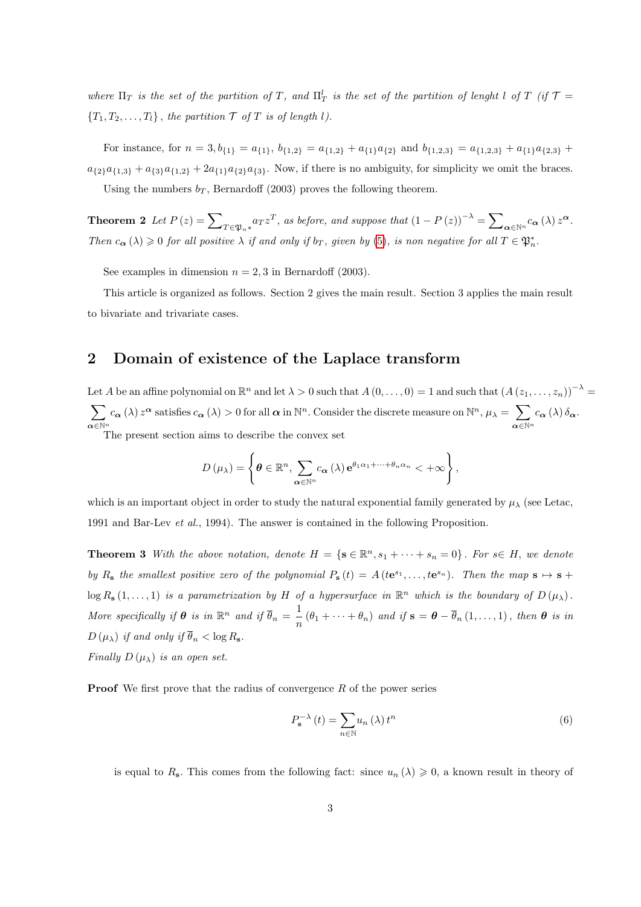where  $\Pi_T$  is the set of the partition of T, and  $\Pi_T^l$  is the set of the partition of lenght l of T (if  $\mathcal T$  =  ${T_1, T_2, \ldots, T_l}$ , the partition  $\mathcal T$  of  $T$  is of length l).

For instance, for  $n = 3$ ,  $b_{\{1\}} = a_{\{1\}}$ ,  $b_{\{1,2\}} = a_{\{1,2\}} + a_{\{1\}}a_{\{2\}}$  and  $b_{\{1,2,3\}} = a_{\{1,2,3\}} + a_{\{1\}}a_{\{2,3\}} + a_{\{1\}}a_{\{2,3\}}$  $a_{\{2\}}a_{\{1,3\}} + a_{\{3\}}a_{\{1,2\}} + 2a_{\{1\}}a_{\{2\}}a_{\{3\}}$ . Now, if there is no ambiguity, for simplicity we omit the braces. Using the numbers  $b_T$ , Bernardoff (2003) proves the following theorem.

<span id="page-2-2"></span>**Theorem 2** Let  $P(z) = \sum_{T \in \mathfrak{P}_n * } a_T z^T$ , as before, and suppose that  $(1 - P(z))^{-\lambda} = \sum_{\alpha \in \mathbb{N}^n} c_{\alpha} (\lambda) z^{\alpha}$ . Then  $c_{\alpha}(\lambda) \geq 0$  for all positive  $\lambda$  if and only if  $b_T$ , given by [\(5\)](#page-1-1), is non negative for all  $T \in \mathfrak{P}_n^*$ .

See examples in dimension  $n = 2, 3$  in Bernardoff (2003).

This article is organized as follows. Section 2 gives the main result. Section 3 applies the main result to bivariate and trivariate cases.

### 2 Domain of existence of the Laplace transform

Let A be an affine polynomial on  $\mathbb{R}^n$  and let  $\lambda > 0$  such that  $A(0,\ldots,0) = 1$  and such that  $(A(z_1,\ldots,z_n))^{-\lambda} =$  $\sum$  $\boldsymbol{\alpha} \in \mathbb{N}^n$  $c_{\boldsymbol{\alpha}}(\lambda) z^{\boldsymbol{\alpha}}$  satisfies  $c_{\boldsymbol{\alpha}}(\lambda) > 0$  for all  $\boldsymbol{\alpha}$  in  $\mathbb{N}^n$ . Consider the discrete measure on  $\mathbb{N}^n$ ,  $\mu_{\lambda} = \sum_{\lambda}$  $\alpha \in \mathbb{N}^n$  $c_{\boldsymbol{\alpha}}\left(\lambda\right)\delta_{\boldsymbol{\alpha}}.$ The present section aims to describe the convex set

$$
D(\mu_{\lambda}) = \left\{\boldsymbol{\theta} \in \mathbb{R}^n, \sum_{\boldsymbol{\alpha} \in \mathbb{N}^n} c_{\boldsymbol{\alpha}}(\lambda) e^{\theta_1 \alpha_1 + \dots + \theta_n \alpha_n} < +\infty \right\},\
$$

which is an important object in order to study the natural exponential family generated by  $\mu_{\lambda}$  (see Letac, 1991 and Bar-Lev et al., 1994). The answer is contained in the following Proposition.

<span id="page-2-1"></span>**Theorem 3** With the above notation, denote  $H = \{s \in \mathbb{R}^n, s_1 + \cdots + s_n = 0\}$ . For  $s \in H$ , we denote by  $R_s$  the smallest positive zero of the polynomial  $P_s(t) = A(te^{s_1}, \ldots, te^{s_n})$ . Then the map  $s \mapsto s +$  $\log R_{\rm\bf s}(1,\ldots,1)$  is a parametrization by H of a hypersurface in  $\mathbb{R}^n$  which is the boundary of  $D(\mu_{\lambda})$ . More specifically if  $\theta$  is in  $\mathbb{R}^n$  and if  $\overline{\theta}_n = \frac{1}{n}$  $\frac{1}{n}(\theta_1 + \cdots + \theta_n)$  and if  $\mathbf{s} = \boldsymbol{\theta} - \theta_n(1,\ldots,1)$ , then  $\boldsymbol{\theta}$  is in  $D(\mu_{\lambda})$  if and only if  $\overline{\theta}_n < \log R_{\mathbf{s}}$ . Finally  $D(\mu_{\lambda})$  is an open set.

**Proof** We first prove that the radius of convergence  $R$  of the power series

<span id="page-2-0"></span>
$$
P_{\mathbf{s}}^{-\lambda}(t) = \sum_{n \in \mathbb{N}} u_n(\lambda) t^n
$$
\n(6)

is equal to R<sub>s</sub>. This comes from the following fact: since  $u_n(\lambda) \geq 0$ , a known result in theory of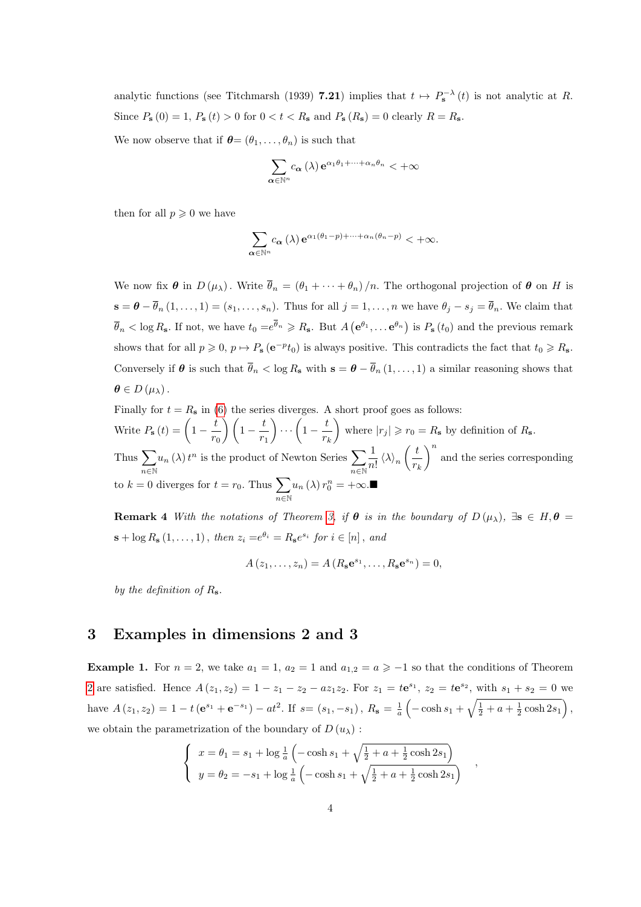analytic functions (see Titchmarsh (1939) 7.21) implies that  $t \mapsto P_s^{-\lambda}(t)$  is not analytic at R. Since  $P_{\mathbf{s}}(0) = 1$ ,  $P_{\mathbf{s}}(t) > 0$  for  $0 < t < R_{\mathbf{s}}$  and  $P_{\mathbf{s}}(R_{\mathbf{s}}) = 0$  clearly  $R = R_{\mathbf{s}}$ .

We now observe that if  $\boldsymbol{\theta} = (\theta_1, \dots, \theta_n)$  is such that

$$
\sum_{\alpha \in \mathbb{N}^n} c_{\alpha}(\lambda) e^{\alpha_1 \theta_1 + \dots + \alpha_n \theta_n} < +\infty
$$

then for all  $p \geqslant 0$  we have

$$
\sum_{\alpha \in \mathbb{N}^n} c_{\alpha}(\lambda) e^{\alpha_1(\theta_1 - p) + \dots + \alpha_n(\theta_n - p)} < +\infty.
$$

We now fix  $\theta$  in  $D(\mu_{\lambda})$ . Write  $\bar{\theta}_n = (\theta_1 + \cdots + \theta_n)/n$ . The orthogonal projection of  $\theta$  on H is  $\mathbf{s} = \boldsymbol{\theta} - \overline{\theta}_n (1, \dots, 1) = (s_1, \dots, s_n)$ . Thus for all  $j = 1, \dots, n$  we have  $\theta_j - s_j = \overline{\theta}_n$ . We claim that  $\overline{\theta}_n < \log R_{\mathbf{s}}$ . If not, we have  $t_0 = e^{\overline{\theta}_n} \geq R_{\mathbf{s}}$ . But  $A\left(\mathbf{e}^{\theta_1}, \dots \mathbf{e}^{\theta_n}\right)$  is  $P_{\mathbf{s}}(t_0)$  and the previous remark shows that for all  $p \geq 0$ ,  $p \mapsto P_s(e^{-p}t_0)$  is always positive. This contradicts the fact that  $t_0 \geq R_s$ . Conversely if  $\theta$  is such that  $\bar{\theta}_n < \log R_s$  with  $s = \theta - \bar{\theta}_n (1, \ldots, 1)$  a similar reasoning shows that  $\theta \in D(\mu_{\lambda})$ .

Finally for  $t = R_s$  in [\(6\)](#page-2-0) the series diverges. A short proof goes as follows: Write  $P_{\mathbf{s}}(t) = \left(1 - \frac{t}{\epsilon}\right)$  $\left(\frac{t}{r_0}\right)\left(1-\frac{t}{r}\right)$  $r_1$  $\bigg) \cdots \bigg(1 - \frac{t}{t}$  $r_k$ where  $|r_j| \ge r_0 = R_s$  by definition of  $R_s$ . Thus  $\sum$ n∈N  $u_n(\lambda) t^n$  is the product of Newton Series  $\sum$ n∈N 1  $\frac{1}{n!} \left\langle \lambda \right\rangle_n \left( \frac{t}{r_i} \right)$  $r_k$  $\int_0^n$  and the series corresponding to  $k = 0$  diverges for  $t = r_0$ . Thus  $\sum$ n∈N  $u_n(\lambda) r_0^n = +\infty$ .

<span id="page-3-0"></span>**Remark 4** With the notations of Theorem [3,](#page-2-1) if  $\theta$  is in the boundary of  $D(\mu_{\lambda})$ ,  $\exists s \in H, \theta =$  $\mathbf{s} + \log R_{\mathbf{s}}(1,\ldots,1)$ , then  $z_i = e^{\theta_i} = R_{\mathbf{s}}e^{s_i}$  for  $i \in [n]$ , and

$$
A(z_1,\ldots,z_n)=A(R_{\mathbf{s}}\mathbf{e}^{s_1},\ldots,R_{\mathbf{s}}\mathbf{e}^{s_n})=0,
$$

by the definition of  $R_s$ .

#### 3 Examples in dimensions 2 and 3

**Example 1.** For  $n = 2$ , we take  $a_1 = 1$ ,  $a_2 = 1$  and  $a_{1,2} = a \ge -1$  so that the conditions of Theorem [2](#page-2-2) are satisfied. Hence  $A(z_1, z_2) = 1 - z_1 - z_2 - a z_1 z_2$ . For  $z_1 = t e^{s_1}$ ,  $z_2 = t e^{s_2}$ , with  $s_1 + s_2 = 0$  we have  $A(z_1, z_2) = 1 - t \left(e^{s_1} + e^{-s_1}\right) - at^2$ . If  $s = (s_1, -s_1)$ ,  $R_s = \frac{1}{a} \left(-\cosh s_1 + \sqrt{\frac{1}{2} + a + \frac{1}{2}\cosh 2s_1}\right)$ , we obtain the parametrization of the boundary of  $D(u_\lambda)$ :

$$
\begin{cases}\n x = \theta_1 = s_1 + \log \frac{1}{a} \left( -\cosh s_1 + \sqrt{\frac{1}{2} + a + \frac{1}{2} \cosh 2s_1} \right) \\
 y = \theta_2 = -s_1 + \log \frac{1}{a} \left( -\cosh s_1 + \sqrt{\frac{1}{2} + a + \frac{1}{2} \cosh 2s_1} \right)\n\end{cases}
$$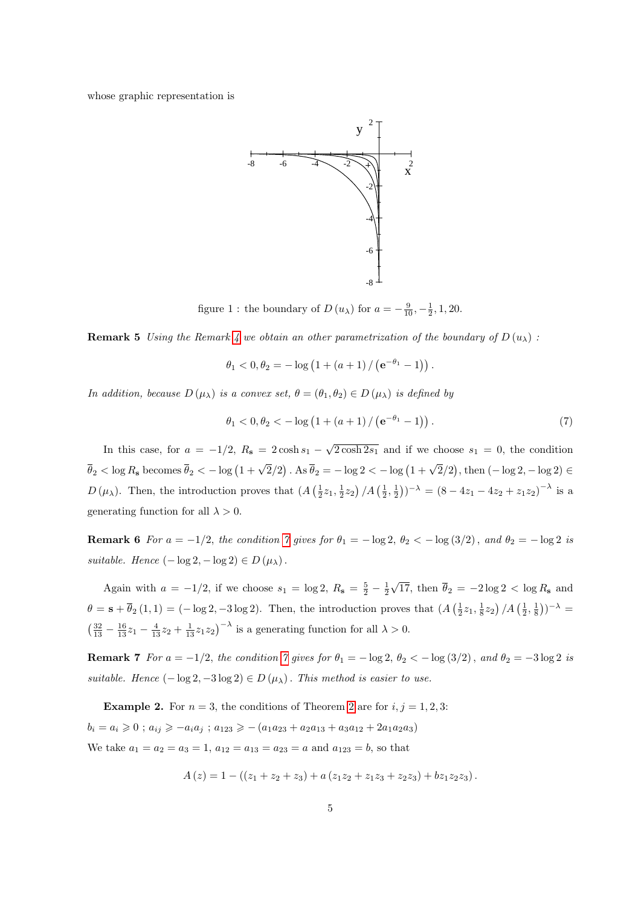whose graphic representation is



figure 1 : the boundary of  $D(u_\lambda)$  for  $a = -\frac{9}{10}, -\frac{1}{2}, 1, 20$ .

**Remark 5** Using the Remark [4](#page-3-0) we obtain an other parametrization of the boundary of  $D(u_\lambda)$ :

$$
\theta_1 < 0, \theta_2 = -\log\left(1 + (a+1) / \left(e^{-\theta_1} - 1\right)\right).
$$

In addition, because  $D(\mu_{\lambda})$  is a convex set,  $\theta = (\theta_1, \theta_2) \in D(\mu_{\lambda})$  is defined by

<span id="page-4-0"></span>
$$
\theta_1 < 0, \theta_2 < -\log\left(1 + (a+1) / \left(e^{-\theta_1} - 1\right)\right). \tag{7}
$$

In this case, for  $a = -1/2$ ,  $R_s = 2 \cosh s_1 - \sqrt{2 \cosh 2s_1}$  and if we choose  $s_1 = 0$ , the condition  $\overline{\theta}_2 < \log R_s$  becomes  $\overline{\theta}_2 < -\log(1+\sqrt{2}/2)$ . As  $\overline{\theta}_2 = -\log 2 < -\log(1+\sqrt{2}/2)$ , then  $(-\log 2, -\log 2) \in$  $D(\mu_{\lambda})$ . Then, the introduction proves that  $(A(\frac{1}{2}z_1, \frac{1}{2}z_2)/A(\frac{1}{2}, \frac{1}{2}))^{-\lambda} = (8 - 4z_1 - 4z_2 + z_1z_2)^{-\lambda}$  is a generating function for all  $\lambda > 0$ .

**Remark 6** For  $a = -1/2$ , the condition [7](#page-4-0) gives for  $\theta_1 = -\log 2$ ,  $\theta_2 < -\log(3/2)$ , and  $\theta_2 = -\log 2$  is suitable. Hence  $(-\log 2, -\log 2) \in D(\mu_{\lambda})$ .

Again with  $a = -1/2$ , if we choose  $s_1 = \log 2$ ,  $R_s = \frac{5}{2} - \frac{1}{2}$ √ 17, then  $\theta_2 = -2 \log 2 < \log R_s$  and  $\theta = \mathbf{s} + \overline{\theta}_2(1,1) = (-\log 2, -3\log 2)$ . Then, the introduction proves that  $\left(A\left(\frac{1}{2}z_1, \frac{1}{8}z_2\right) / A\left(\frac{1}{2}, \frac{1}{8}\right)\right)^{-\lambda} =$  $\left(\frac{32}{13} - \frac{16}{13}z_1 - \frac{4}{13}z_2 + \frac{1}{13}z_1z_2\right)^{-\lambda}$  is a generating function for all  $\lambda > 0$ .

Remark [7](#page-4-0) For  $a = -1/2$ , the condition 7 gives for  $\theta_1 = -\log 2$ ,  $\theta_2 < -\log(3/2)$ , and  $\theta_2 = -3\log 2$  is suitable. Hence  $(-\log 2, -3\log 2) \in D(\mu_{\lambda})$ . This method is easier to use.

**Example [2](#page-2-2).** For  $n = 3$ , the conditions of Theorem 2 are for  $i, j = 1, 2, 3$ :  $b_i = a_i \geq 0$ ;  $a_{ij} \geq -a_i a_j$ ;  $a_{123} \geq - (a_1 a_{23} + a_2 a_{13} + a_3 a_{12} + 2 a_1 a_2 a_3)$ We take  $a_1 = a_2 = a_3 = 1, a_{12} = a_{13} = a_{23} = a$  and  $a_{123} = b$ , so that

$$
A(z) = 1 - ((z_1 + z_2 + z_3) + a (z_1 z_2 + z_1 z_3 + z_2 z_3) + bz_1 z_2 z_3).
$$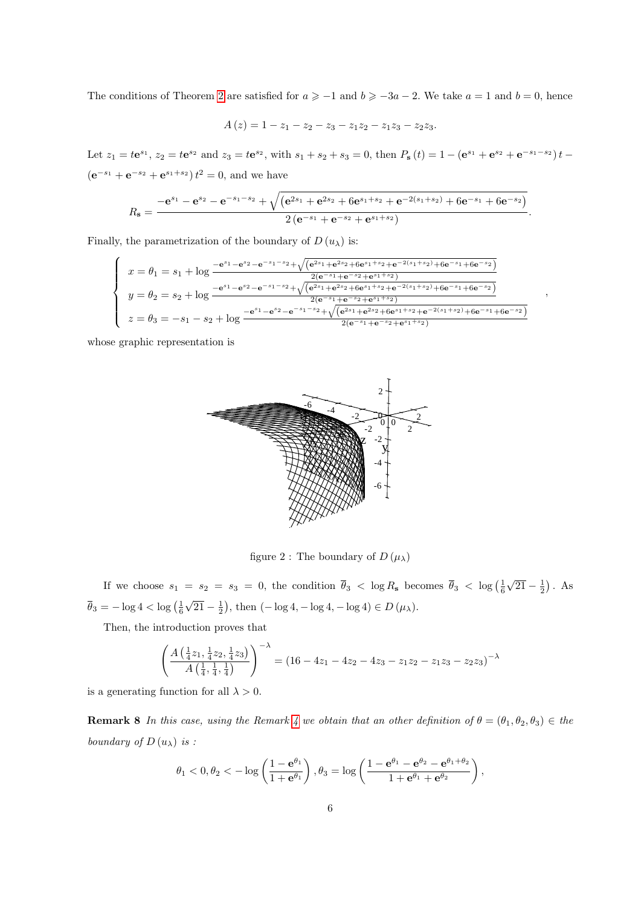The conditions of Theorem [2](#page-2-2) are satisfied for  $a \ge -1$  and  $b \ge -3a-2$ . We take  $a = 1$  and  $b = 0$ , hence

$$
A(z) = 1 - z_1 - z_2 - z_3 - z_1 z_2 - z_1 z_3 - z_2 z_3.
$$

Let  $z_1 = t e^{s_1}$ ,  $z_2 = t e^{s_2}$  and  $z_3 = t e^{s_2}$ , with  $s_1 + s_2 + s_3 = 0$ , then  $P_s(t) = 1 - (e^{s_1} + e^{s_2} + e^{-s_1 - s_2})t$  $(e^{-s_1} + e^{-s_2} + e^{s_1+s_2}) t^2 = 0$ , and we have

$$
R_{s} = \frac{-e^{s_{1}} - e^{s_{2}} - e^{-s_{1} - s_{2}} + \sqrt{(e^{2s_{1}} + e^{2s_{2}} + 6e^{s_{1} + s_{2}} + e^{-2(s_{1} + s_{2})} + 6e^{-s_{1}} + 6e^{-s_{2}})}}{2(e^{-s_{1}} + e^{-s_{2}} + e^{s_{1} + s_{2}})}
$$

.

,

Finally, the parametrization of the boundary of  $D(u_\lambda)$  is:

$$
\begin{cases}\nx = \theta_1 = s_1 + \log \frac{-e^{s_1} - e^{s_2} - e^{-s_1 - s_2} + \sqrt{(e^{2s_1} + e^{2s_2} + 6e^{s_1+s_2} + e^{-2(s_1+s_2)} + 6e^{-s_1} + 6e^{-s_2})}}{2(e^{-s_1} + e^{-s_2} + e^{s_1+s_2})} \\
y = \theta_2 = s_2 + \log \frac{-e^{s_1} - e^{s_2} - e^{-s_1 - s_2} + \sqrt{(e^{2s_1} + e^{2s_2} + 6e^{s_1+s_2} + e^{-2(s_1+s_2)} + 6e^{-s_1} + 6e^{-s_2})}}{2(e^{-s_1} + e^{-s_2} + e^{s_1+s_2})} \\
z = \theta_3 = -s_1 - s_2 + \log \frac{-e^{s_1} - e^{s_2} - e^{-s_1 - s_2} + \sqrt{(e^{2s_1} + e^{2s_2} + 6e^{s_1+s_2} + e^{-2(s_1+s_2)} + 6e^{-s_1} + 6e^{-s_2})}}{2(e^{-s_1} + e^{-s_2} + e^{s_1+s_2})}\n\end{cases}
$$

whose graphic representation is



figure 2 : The boundary of  $D(\mu_{\lambda})$ 

If we choose  $s_1 = s_2 = s_3 = 0$ , the condition  $\bar{\theta}_3 < \log R_s$  becomes  $\bar{\theta}_3 < \log \left(\frac{1}{6}\right)$ √  $\sqrt{21} - \frac{1}{2}$ . As  $\overline{\theta}_3 = -\log 4 < \log \left(\frac{1}{6}\right)$ √  $\overline{21} - \frac{1}{2}$ , then  $(-\log 4, -\log 4, -\log 4) \in D(\mu_{\lambda})$ .

Then, the introduction proves that

$$
\left(\frac{A\left(\frac{1}{4}z_1, \frac{1}{4}z_2, \frac{1}{4}z_3\right)}{A\left(\frac{1}{4}, \frac{1}{4}, \frac{1}{4}\right)}\right)^{-\lambda} = \left(16 - 4z_1 - 4z_2 - 4z_3 - z_1z_2 - z_1z_3 - z_2z_3\right)^{-\lambda}
$$

is a generating function for all  $\lambda > 0$ .

**Remark 8** In this case, using the Remark [4](#page-3-0) we obtain that an other definition of  $\theta = (\theta_1, \theta_2, \theta_3) \in$  the boundary of  $D(u_\lambda)$  is :

$$
\theta_1 < 0, \theta_2 < -\log\left(\frac{1-\mathbf{e}^{\theta_1}}{1+\mathbf{e}^{\theta_1}}\right), \theta_3 = \log\left(\frac{1-\mathbf{e}^{\theta_1}-\mathbf{e}^{\theta_2}-\mathbf{e}^{\theta_1+\theta_2}}{1+\mathbf{e}^{\theta_1}+\mathbf{e}^{\theta_2}}\right),
$$